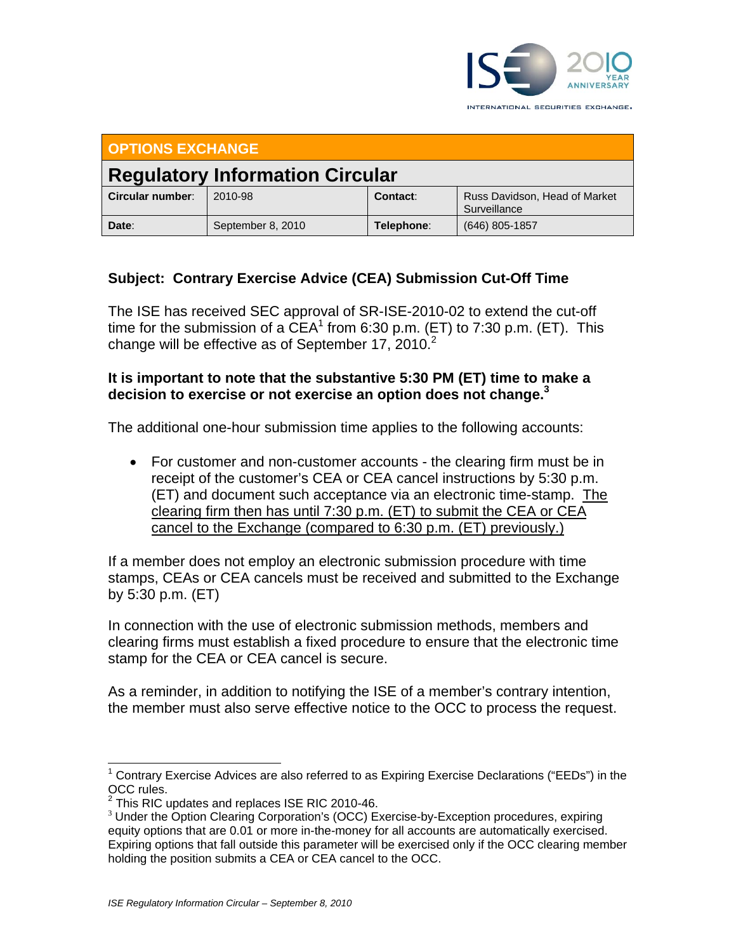

**OPTIONS EXCHANGE Regulatory Information Circular** 

|                  | <b>Regulatory modulitation on cuidi</b> |            |                                               |
|------------------|-----------------------------------------|------------|-----------------------------------------------|
| Circular number: | 2010-98                                 | Contact:   | Russ Davidson, Head of Market<br>Surveillance |
| Date:            | September 8, 2010                       | Telephone: | (646) 805-1857                                |

## **Subject: Contrary Exercise Advice (CEA) Submission Cut-Off Time**

The ISE has received SEC approval of SR-ISE-2010-02 to extend the cut-off time for the submission of a  $\widehat{CEA}^1$  from 6:30 p.m. (ET) to 7:30 p.m. (ET). This change will be effective as of September 17, 2010.<sup>2</sup>

## **It is important to note that the substantive 5:30 PM (ET) time to make a decision to exercise or not exercise an option does not change.3**

The additional one-hour submission time applies to the following accounts:

 For customer and non-customer accounts - the clearing firm must be in receipt of the customer's CEA or CEA cancel instructions by 5:30 p.m. (ET) and document such acceptance via an electronic time-stamp. The clearing firm then has until 7:30 p.m. (ET) to submit the CEA or CEA cancel to the Exchange (compared to 6:30 p.m. (ET) previously.)

If a member does not employ an electronic submission procedure with time stamps, CEAs or CEA cancels must be received and submitted to the Exchange by 5:30 p.m. (ET)

In connection with the use of electronic submission methods, members and clearing firms must establish a fixed procedure to ensure that the electronic time stamp for the CEA or CEA cancel is secure.

As a reminder, in addition to notifying the ISE of a member's contrary intention, the member must also serve effective notice to the OCC to process the request.

 $\overline{a}$ <sup>1</sup> Contrary Exercise Advices are also referred to as Expiring Exercise Declarations ("EEDs") in the OCC rules.

 $2$  This RIC updates and replaces ISE RIC 2010-46.

<sup>&</sup>lt;sup>3</sup> Under the Option Clearing Corporation's (OCC) Exercise-by-Exception procedures, expiring equity options that are 0.01 or more in-the-money for all accounts are automatically exercised. Expiring options that fall outside this parameter will be exercised only if the OCC clearing member holding the position submits a CEA or CEA cancel to the OCC.